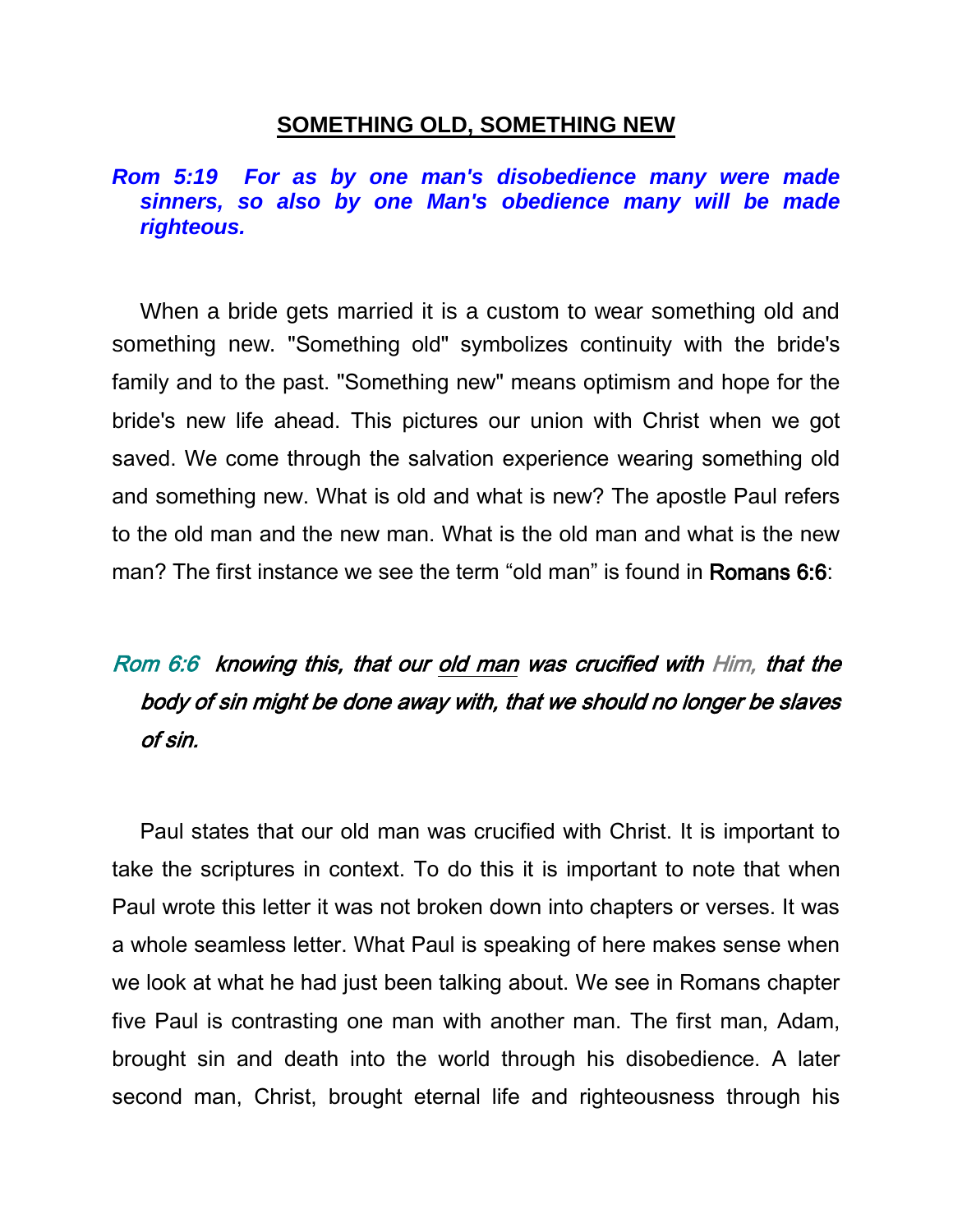## **SOMETHING OLD, SOMETHING NEW**

## *Rom 5:19 For as by one man's disobedience many were made sinners, so also by one Man's obedience many will be made righteous.*

When a bride gets married it is a custom to wear something old and something new. "Something old" symbolizes continuity with the bride's family and to the past. "Something new" means optimism and hope for the bride's new life ahead. This pictures our union with Christ when we got saved. We come through the salvation experience wearing something old and something new. What is old and what is new? The apostle Paul refers to the old man and the new man. What is the old man and what is the new man? The first instance we see the term "old man" is found in Romans 6:6:

## Rom 6:6 knowing this, that our old man was crucified with Him, that the body of sin might be done away with, that we should no longer be slaves of sin.

Paul states that our old man was crucified with Christ. It is important to take the scriptures in context. To do this it is important to note that when Paul wrote this letter it was not broken down into chapters or verses. It was a whole seamless letter. What Paul is speaking of here makes sense when we look at what he had just been talking about. We see in Romans chapter five Paul is contrasting one man with another man. The first man, Adam, brought sin and death into the world through his disobedience. A later second man, Christ, brought eternal life and righteousness through his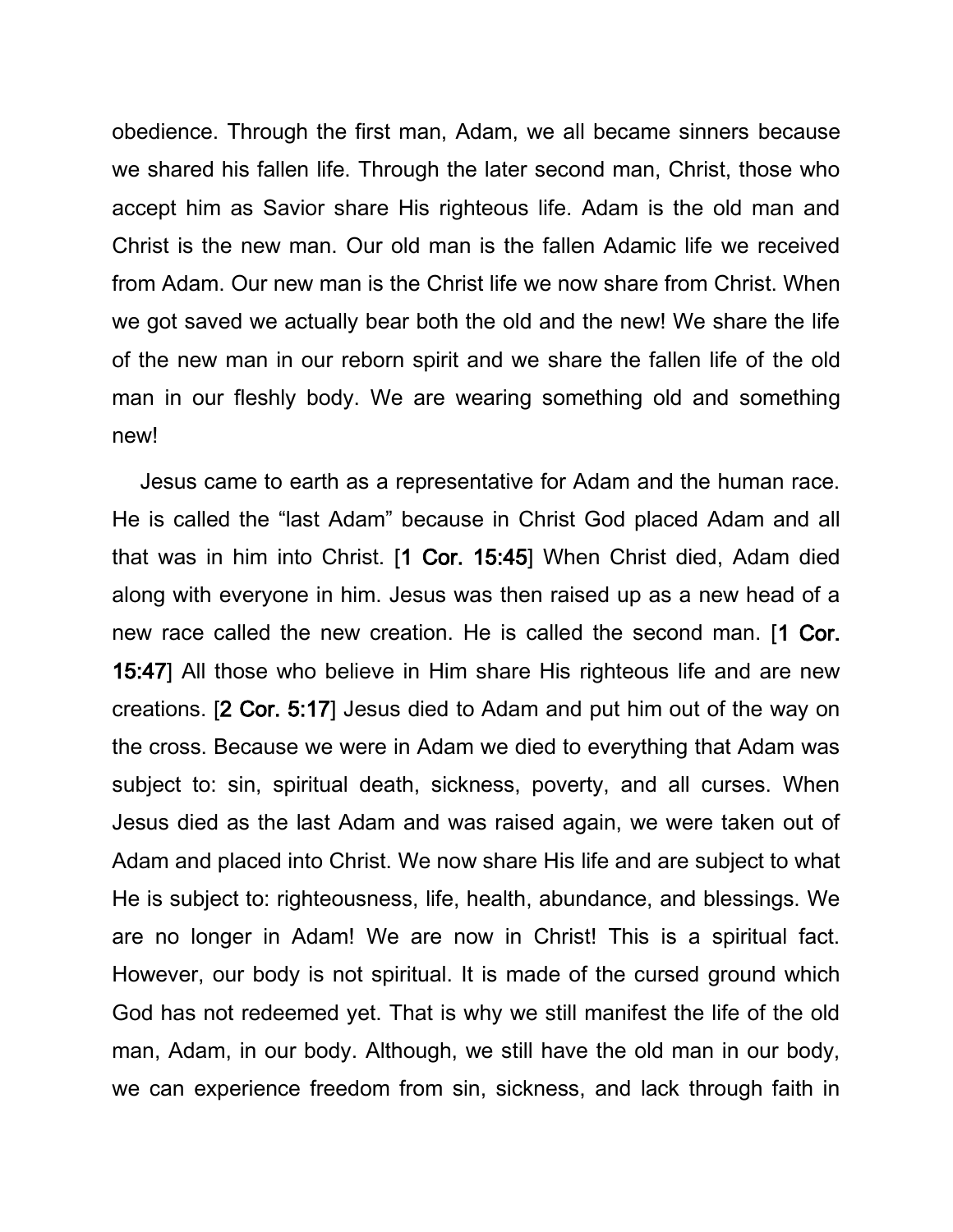obedience. Through the first man, Adam, we all became sinners because we shared his fallen life. Through the later second man, Christ, those who accept him as Savior share His righteous life. Adam is the old man and Christ is the new man. Our old man is the fallen Adamic life we received from Adam. Our new man is the Christ life we now share from Christ. When we got saved we actually bear both the old and the new! We share the life of the new man in our reborn spirit and we share the fallen life of the old man in our fleshly body. We are wearing something old and something new!

Jesus came to earth as a representative for Adam and the human race. He is called the "last Adam" because in Christ God placed Adam and all that was in him into Christ. [1 Cor. 15:45] When Christ died, Adam died along with everyone in him. Jesus was then raised up as a new head of a new race called the new creation. He is called the second man. [1 Cor. 15:47] All those who believe in Him share His righteous life and are new creations. [2 Cor. 5:17] Jesus died to Adam and put him out of the way on the cross. Because we were in Adam we died to everything that Adam was subject to: sin, spiritual death, sickness, poverty, and all curses. When Jesus died as the last Adam and was raised again, we were taken out of Adam and placed into Christ. We now share His life and are subject to what He is subject to: righteousness, life, health, abundance, and blessings. We are no longer in Adam! We are now in Christ! This is a spiritual fact. However, our body is not spiritual. It is made of the cursed ground which God has not redeemed yet. That is why we still manifest the life of the old man, Adam, in our body. Although, we still have the old man in our body, we can experience freedom from sin, sickness, and lack through faith in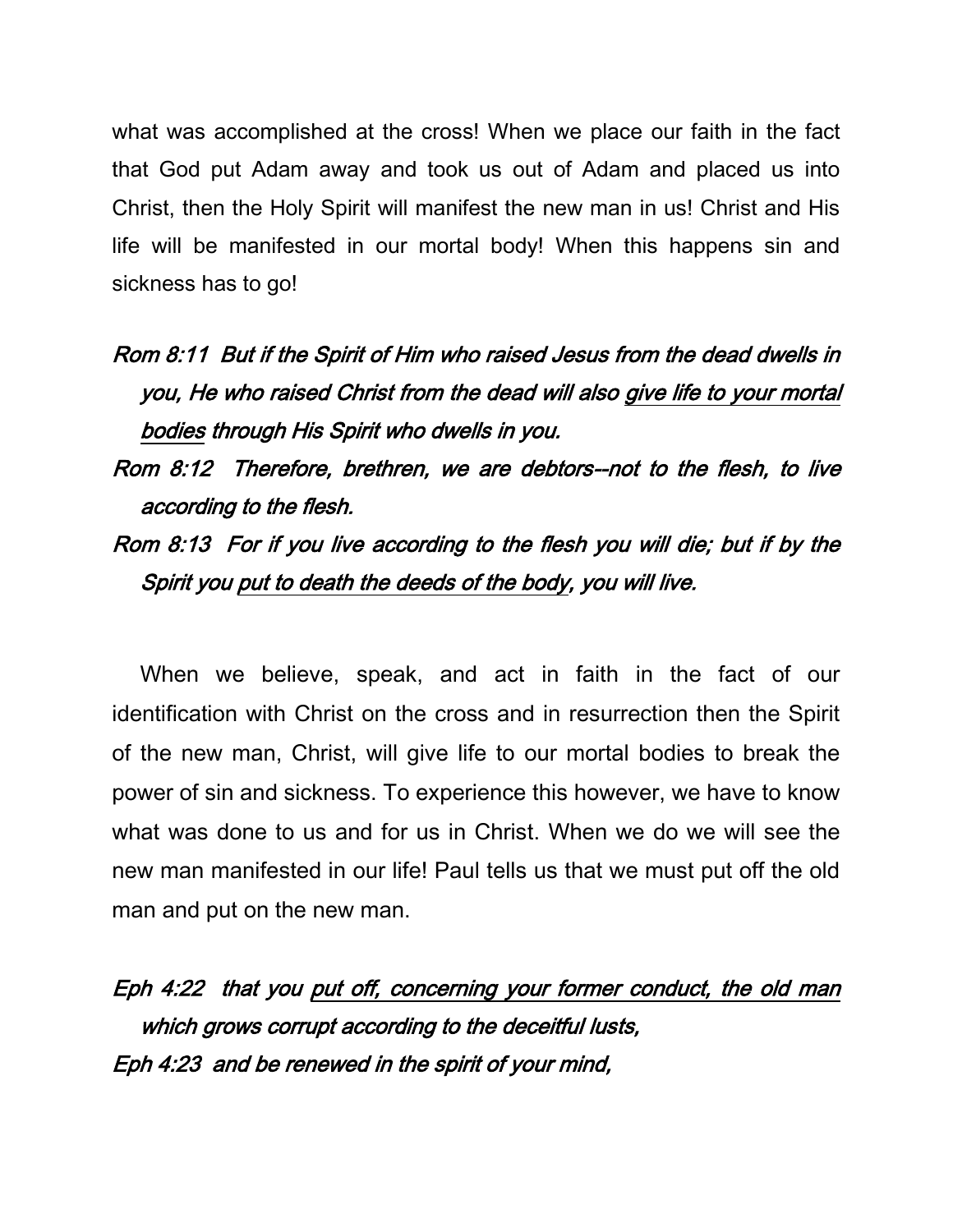what was accomplished at the cross! When we place our faith in the fact that God put Adam away and took us out of Adam and placed us into Christ, then the Holy Spirit will manifest the new man in us! Christ and His life will be manifested in our mortal body! When this happens sin and sickness has to go!

- Rom 8:11 But if the Spirit of Him who raised Jesus from the dead dwells in you, He who raised Christ from the dead will also give life to your mortal bodies through His Spirit who dwells in you.
- Rom 8:12 Therefore, brethren, we are debtors--not to the flesh, to live according to the flesh.
- Rom 8:13 For if you live according to the flesh you will die; but if by the Spirit you put to death the deeds of the body, you will live.

When we believe, speak, and act in faith in the fact of our identification with Christ on the cross and in resurrection then the Spirit of the new man, Christ, will give life to our mortal bodies to break the power of sin and sickness. To experience this however, we have to know what was done to us and for us in Christ. When we do we will see the new man manifested in our life! Paul tells us that we must put off the old man and put on the new man.

Eph 4:22 that you put off, concerning your former conduct, the old man which grows corrupt according to the deceitful lusts, Eph 4:23 and be renewed in the spirit of your mind,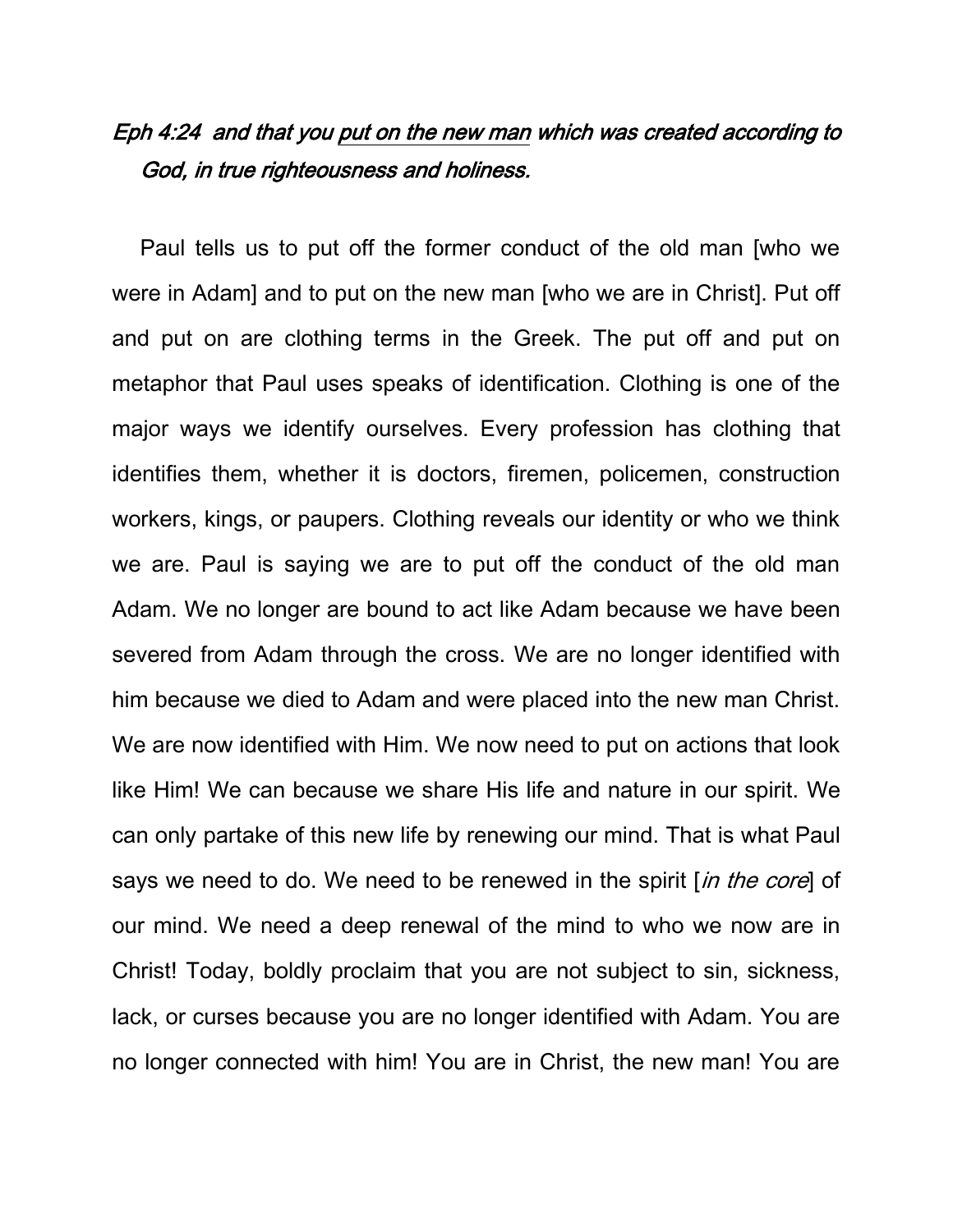## Eph 4:24 and that you put on the new man which was created according to God, in true righteousness and holiness.

Paul tells us to put off the former conduct of the old man [who we were in Adam] and to put on the new man [who we are in Christ]. Put off and put on are clothing terms in the Greek. The put off and put on metaphor that Paul uses speaks of identification. Clothing is one of the major ways we identify ourselves. Every profession has clothing that identifies them, whether it is doctors, firemen, policemen, construction workers, kings, or paupers. Clothing reveals our identity or who we think we are. Paul is saying we are to put off the conduct of the old man Adam. We no longer are bound to act like Adam because we have been severed from Adam through the cross. We are no longer identified with him because we died to Adam and were placed into the new man Christ. We are now identified with Him. We now need to put on actions that look like Him! We can because we share His life and nature in our spirit. We can only partake of this new life by renewing our mind. That is what Paul says we need to do. We need to be renewed in the spirit [in the core] of our mind. We need a deep renewal of the mind to who we now are in Christ! Today, boldly proclaim that you are not subject to sin, sickness, lack, or curses because you are no longer identified with Adam. You are no longer connected with him! You are in Christ, the new man! You are